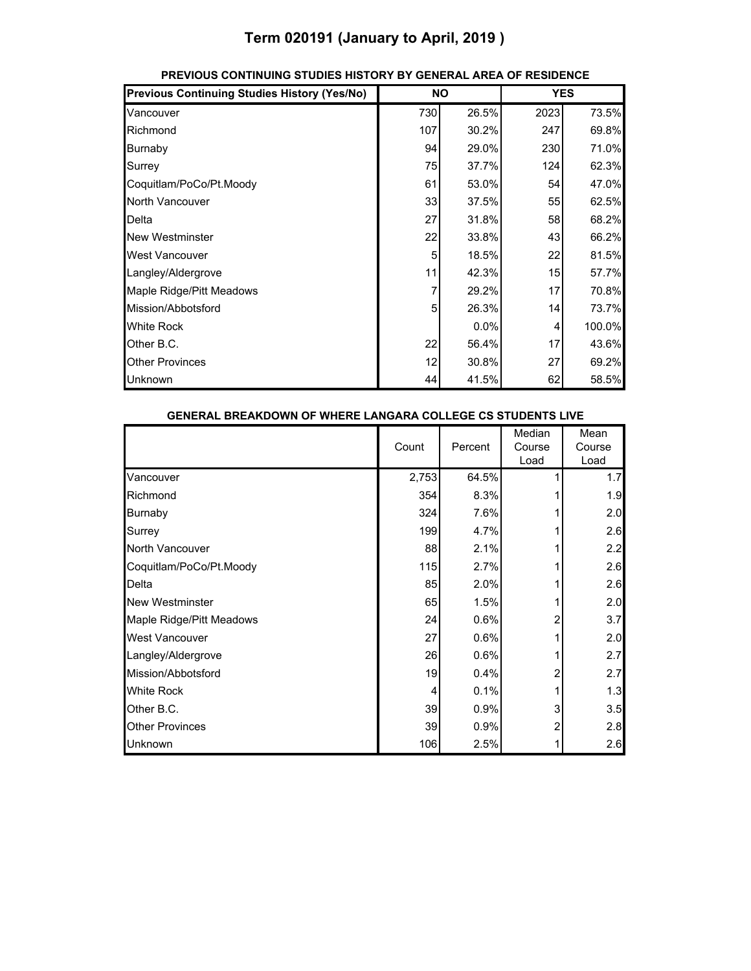## **Term 020191 (January to April, 2019 )**

| <b>Previous Continuing Studies History (Yes/No)</b> |     | <b>NO</b> | <b>YES</b> |        |
|-----------------------------------------------------|-----|-----------|------------|--------|
| Vancouver                                           | 730 | 26.5%     | 2023       | 73.5%  |
| Richmond                                            | 107 | 30.2%     | 247        | 69.8%  |
| Burnaby                                             | 94  | 29.0%     | 230        | 71.0%  |
| Surrey                                              | 75  | 37.7%     | 124        | 62.3%  |
| Coquitlam/PoCo/Pt.Moody                             | 61  | 53.0%     | 54         | 47.0%  |
| North Vancouver                                     | 33  | 37.5%     | 55         | 62.5%  |
| Delta                                               | 27  | 31.8%     | 58         | 68.2%  |
| <b>New Westminster</b>                              | 22  | 33.8%     | 43         | 66.2%  |
| <b>West Vancouver</b>                               | 5   | 18.5%     | 22         | 81.5%  |
| Langley/Aldergrove                                  | 11  | 42.3%     | 15         | 57.7%  |
| Maple Ridge/Pitt Meadows                            | 7   | 29.2%     | 17         | 70.8%  |
| Mission/Abbotsford                                  | 5   | 26.3%     | 14         | 73.7%  |
| <b>White Rock</b>                                   |     | 0.0%      | 4          | 100.0% |
| Other B.C.                                          | 22  | 56.4%     | 17         | 43.6%  |
| <b>Other Provinces</b>                              | 12  | 30.8%     | 27         | 69.2%  |
| Unknown                                             | 44  | 41.5%     | 62         | 58.5%  |

### **PREVIOUS CONTINUING STUDIES HISTORY BY GENERAL AREA OF RESIDENCE**

| <b>GENERAL BREAKDOWN OF WHERE LANGARA COLLEGE CS STUDENTS LIVE</b> |       |         |                          |                        |
|--------------------------------------------------------------------|-------|---------|--------------------------|------------------------|
|                                                                    | Count | Percent | Median<br>Course<br>Load | Mean<br>Course<br>Load |
| Vancouver                                                          | 2,753 | 64.5%   |                          | 1.7                    |
| Richmond                                                           | 354   | 8.3%    |                          | 1.9                    |
| Burnaby                                                            | 324   | 7.6%    |                          | 2.0                    |
| Surrey                                                             | 199   | 4.7%    |                          | 2.6                    |
| North Vancouver                                                    | 88    | 2.1%    |                          | 2.2                    |
| Coquitlam/PoCo/Pt.Moody                                            | 115   | 2.7%    |                          | 2.6                    |
| Delta                                                              | 85    | 2.0%    |                          | 2.6                    |
| <b>New Westminster</b>                                             | 65    | 1.5%    |                          | 2.0                    |
| Maple Ridge/Pitt Meadows                                           | 24    | 0.6%    | 2                        | 3.7                    |
| <b>West Vancouver</b>                                              | 27    | 0.6%    |                          | 2.0                    |
| Langley/Aldergrove                                                 | 26    | 0.6%    |                          | 2.7                    |
| Mission/Abbotsford                                                 | 19    | 0.4%    |                          | 2.7                    |
| <b>White Rock</b>                                                  | 4     | 0.1%    |                          | 1.3                    |
| Other B.C.                                                         | 39    | 0.9%    | 3                        | 3.5                    |
| <b>Other Provinces</b>                                             | 39    | 0.9%    | 2                        | 2.8                    |
| Unknown                                                            | 106   | 2.5%    |                          | 2.6                    |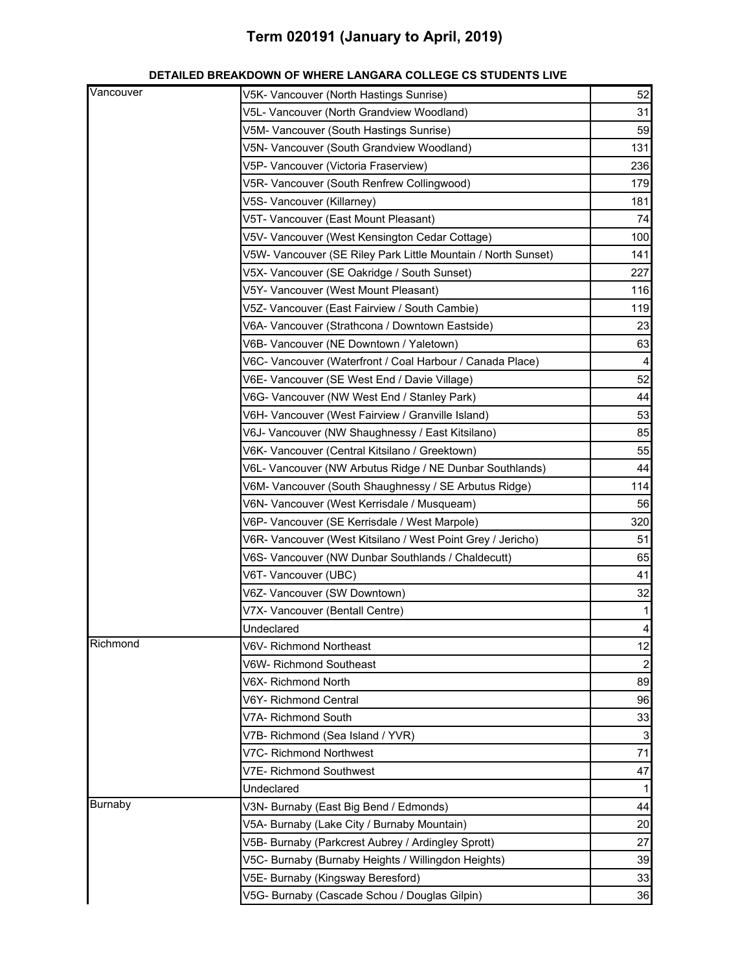## **Term 020191 (January to April, 2019)**

| Vancouver      | V5K- Vancouver (North Hastings Sunrise)                       | 52             |
|----------------|---------------------------------------------------------------|----------------|
|                | V5L- Vancouver (North Grandview Woodland)                     | 31             |
|                | V5M- Vancouver (South Hastings Sunrise)                       | 59             |
|                | V5N- Vancouver (South Grandview Woodland)                     | 131            |
|                | V5P- Vancouver (Victoria Fraserview)                          | 236            |
|                | V5R- Vancouver (South Renfrew Collingwood)                    | 179            |
|                | V5S- Vancouver (Killarney)                                    | 181            |
|                | V5T- Vancouver (East Mount Pleasant)                          | 74             |
|                | V5V- Vancouver (West Kensington Cedar Cottage)                | 100            |
|                | V5W- Vancouver (SE Riley Park Little Mountain / North Sunset) | 141            |
|                | V5X- Vancouver (SE Oakridge / South Sunset)                   | 227            |
|                | V5Y- Vancouver (West Mount Pleasant)                          | 116            |
|                | V5Z- Vancouver (East Fairview / South Cambie)                 | 119            |
|                | V6A- Vancouver (Strathcona / Downtown Eastside)               | 23             |
|                | V6B- Vancouver (NE Downtown / Yaletown)                       | 63             |
|                | V6C- Vancouver (Waterfront / Coal Harbour / Canada Place)     | 4              |
|                | V6E- Vancouver (SE West End / Davie Village)                  | 52             |
|                | V6G- Vancouver (NW West End / Stanley Park)                   | 44             |
|                | V6H- Vancouver (West Fairview / Granville Island)             | 53             |
|                | V6J- Vancouver (NW Shaughnessy / East Kitsilano)              | 85             |
|                | V6K- Vancouver (Central Kitsilano / Greektown)                | 55             |
|                | V6L- Vancouver (NW Arbutus Ridge / NE Dunbar Southlands)      | 44             |
|                | V6M- Vancouver (South Shaughnessy / SE Arbutus Ridge)         | 114            |
|                | V6N- Vancouver (West Kerrisdale / Musqueam)                   | 56             |
|                | V6P- Vancouver (SE Kerrisdale / West Marpole)                 | 320            |
|                | V6R- Vancouver (West Kitsilano / West Point Grey / Jericho)   | 51             |
|                | V6S- Vancouver (NW Dunbar Southlands / Chaldecutt)            | 65             |
|                | V6T- Vancouver (UBC)                                          | 41             |
|                | V6Z- Vancouver (SW Downtown)                                  | 32             |
|                | V7X- Vancouver (Bentall Centre)                               | $\mathbf{1}$   |
|                | Undeclared                                                    | $\overline{4}$ |
| Richmond       | V6V- Richmond Northeast                                       | 12             |
|                | V6W- Richmond Southeast                                       | $\overline{c}$ |
|                | V6X- Richmond North                                           | 89             |
|                | V6Y- Richmond Central                                         | 96             |
|                | V7A-Richmond South                                            | 33             |
|                | V7B- Richmond (Sea Island / YVR)                              | $\mathbf{3}$   |
|                | V7C- Richmond Northwest                                       | 71             |
|                | V7E- Richmond Southwest                                       | 47             |
|                | Undeclared                                                    | $\mathbf{1}$   |
| <b>Burnaby</b> | V3N- Burnaby (East Big Bend / Edmonds)                        | 44             |
|                | V5A- Burnaby (Lake City / Burnaby Mountain)                   | 20             |
|                | V5B- Burnaby (Parkcrest Aubrey / Ardingley Sprott)            | 27             |
|                | V5C- Burnaby (Burnaby Heights / Willingdon Heights)           | 39             |
|                | V5E- Burnaby (Kingsway Beresford)                             | 33             |
|                | V5G- Burnaby (Cascade Schou / Douglas Gilpin)                 | 36             |

#### **DETAILED BREAKDOWN OF WHERE LANGARA COLLEGE CS STUDENTS LIVE**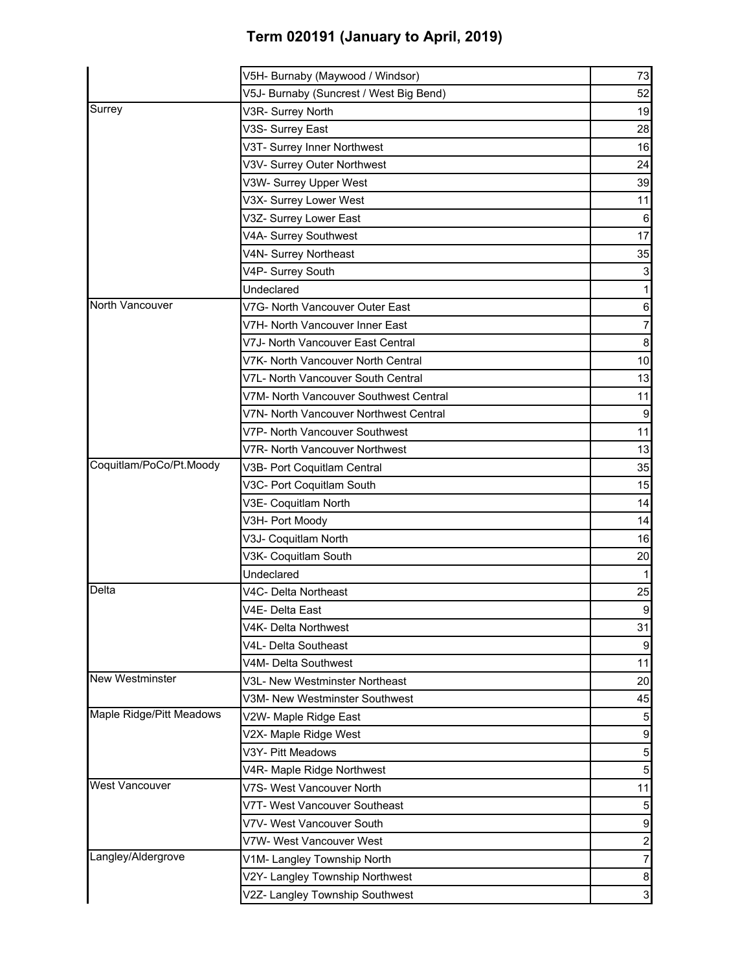# **Term 020191 (January to April, 2019)**

|                          | V5H- Burnaby (Maywood / Windsor)        | 73               |
|--------------------------|-----------------------------------------|------------------|
|                          | V5J- Burnaby (Suncrest / West Big Bend) | 52               |
| Surrey                   | V3R- Surrey North                       | 19               |
|                          | V3S- Surrey East                        | 28               |
|                          | V3T- Surrey Inner Northwest             | 16               |
|                          | V3V- Surrey Outer Northwest             | 24               |
|                          | V3W- Surrey Upper West                  | 39               |
|                          | V3X- Surrey Lower West                  | 11               |
|                          | V3Z- Surrey Lower East                  | $\,6$            |
|                          | V4A- Surrey Southwest                   | 17               |
|                          | V4N- Surrey Northeast                   | 35               |
|                          | V4P- Surrey South                       | 3                |
|                          | Undeclared                              |                  |
| North Vancouver          | V7G- North Vancouver Outer East         | 6                |
|                          | V7H- North Vancouver Inner East         | 7                |
|                          | V7J- North Vancouver East Central       | $\bf 8$          |
|                          | V7K- North Vancouver North Central      | 10               |
|                          | V7L- North Vancouver South Central      | 13               |
|                          | V7M- North Vancouver Southwest Central  | 11               |
|                          | V7N- North Vancouver Northwest Central  | 9                |
|                          | V7P- North Vancouver Southwest          | 11               |
|                          | V7R- North Vancouver Northwest          | 13               |
| Coquitlam/PoCo/Pt.Moody  | V3B- Port Coquitlam Central             | 35               |
|                          | V3C- Port Coquitlam South               | 15               |
|                          | V3E- Coquitlam North                    | 14               |
|                          | V3H- Port Moody                         | 14               |
|                          | V3J- Coquitlam North                    | 16               |
|                          | V3K- Coquitlam South                    | 20               |
|                          | Undeclared                              |                  |
| Delta                    | V4C- Delta Northeast                    | 25               |
|                          | V4E- Delta East                         | $\overline{9}$   |
|                          | V4K- Delta Northwest                    | 31               |
|                          | V4L- Delta Southeast                    | 9                |
|                          | V4M- Delta Southwest                    | 11               |
| <b>New Westminster</b>   | V3L- New Westminster Northeast          | 20               |
|                          | V3M- New Westminster Southwest          | 45               |
| Maple Ridge/Pitt Meadows | V2W- Maple Ridge East                   | $\overline{5}$   |
|                          | V2X- Maple Ridge West                   | $\boldsymbol{9}$ |
|                          | V3Y- Pitt Meadows                       | 5                |
|                          | V4R- Maple Ridge Northwest              | $\overline{5}$   |
| <b>West Vancouver</b>    | V7S- West Vancouver North               | 11               |
|                          | V7T- West Vancouver Southeast           | $5\overline{)}$  |
|                          | V7V- West Vancouver South               | $\boldsymbol{9}$ |
|                          | V7W- West Vancouver West                | $\overline{c}$   |
| Langley/Aldergrove       | V1M- Langley Township North             | 7                |
|                          | V2Y- Langley Township Northwest         | 8                |
|                          | V2Z- Langley Township Southwest         | $\mathbf{3}$     |
|                          |                                         |                  |